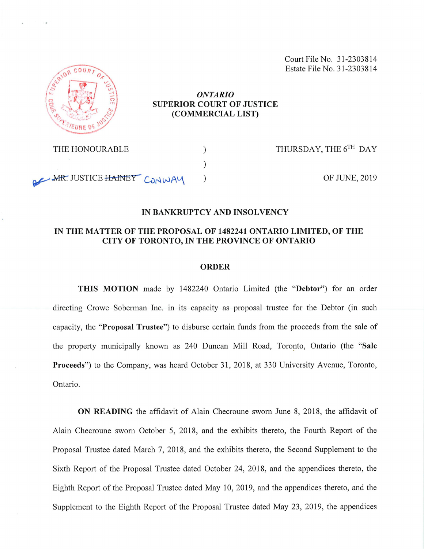Court File No. 31-2303814 Estate File No. 31-2303814



#### *ONTARIO* **SUPERIOR COURT OF JUSTICE (COMMERCIAL LIST)**

THE HONOURABLE  $)$ 

AR. JUSTICE HAINEY CONWAY

THURSDAY, THE 6TH DAY

OF JUNE, 2019

#### **IN BANKRUPTCY AND INSOLVENCY**

## **IN THE MATTER OF THE PROPOSAL OF 1482241 ONTARIO LIMITED, OF THE CITY OF TORONTO, IN THE PROVINCE OF ONTARIO**

)

#### **ORDER**

**THIS MOTION** made by 1482240 Ontario Limited (the **"Debtor")** for an order directing Crowe Soberman Inc. in its capacity as proposal trustee for the Debtor (in such capacity, the **"Proposal Trustee")** to disburse certain funds from the proceeds from the sale of the property municipally known as 240 Duncan Mill Road, Toronto, Ontario (the **"Sale Proceeds")** to the Company, was heard October 31, 2018, at 330 University Avenue, Toronto, Ontario.

**ON READING** the affidavit of Alain Checroune sworn June 8, 2018, the affidavit of Alain Checroune sworn October 5, 2018, and the exhibits thereto, the Fourth Report of the Proposal Trustee dated March 7, 2018, and the exhibits thereto, the Second Supplement to the Sixth Report of the Proposal Trustee dated October 24, 2018, and the appendices thereto, the Eighth Report of the Proposal Trustee dated May 10, 2019, and the appendices thereto, and the Supplement to the Eighth Report of the Proposal Trustee dated May 23, 2019, the appendices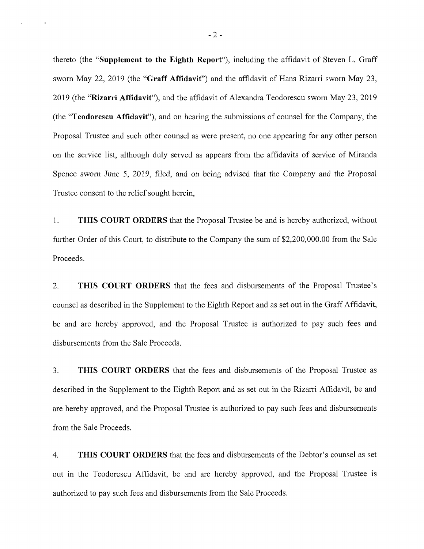thereto (the **"Supplement to the Eighth Report"),** including the affidavit of Steven L. Graff sworn May 22, 2019 (the **"Graff Affidavit")** and the affidavit of Hans Rizarri sworn May 23, 2019 (the **"Rizarri Affidavit"),** and the affidavit of Alexandra Teodorescu sworn May 23, 2019 (the **"Teodorescu Affidavit"),** and on hearing the submissions of counsel for the Company, the Proposal Trustee and such other counsel as were present, no one appearing for any other person on the service list, although duly served as appears from the affidavits of service of Miranda Spence sworn June 5, 2019, filed, and on being advised that the Company and the Proposal Trustee consent to the relief sought herein,

1**. THIS COURT ORDERS** that the Proposal Trustee be and is hereby authorized, without further Order of this Court, to distribute to the Company the sum of \$2,200,000.00 from the Sale Proceeds.

2. **THIS COURT ORDERS** that the fees and disbursements of the Proposal Trustee's counsel as described in the Supplement to the Eighth Report and as set out in the Graff Affidavit, be and are hereby approved, and the Proposal Trustee is authorized to pay such fees and disbursements from the Sale Proceeds.

3. **THIS COURT ORDERS** that the fees and disbursements of the Proposal Trustee as described in the Supplement to the Eighth Report and as set out in the Rizarri Affidavit, be and are hereby approved, and the Proposal Trustee is authorized to pay such fees and disbursements from the Sale Proceeds.

4. **THIS COURT ORDERS** that the fees and disbursements ofthe Debtor's counsel as set out in the Teodorescu Affidavit, be and are hereby approved, and the Proposal Trustee is authorized to pay such fees and disbursements from the Sale Proceeds.

-2-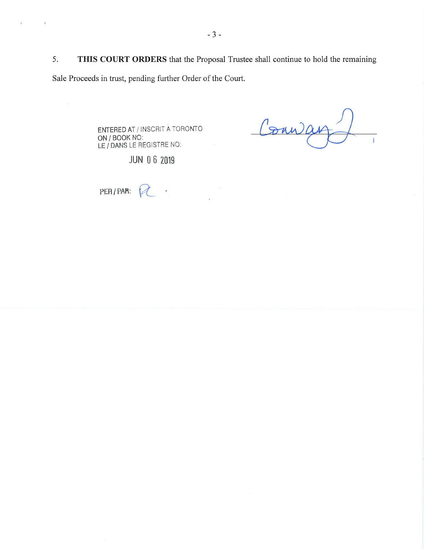5. **THIS COURT ORDERS** that the Proposal Trustee shall continue to hold the remaining Sale Proceeds in trust, pending further Order of the Court.

 $\frac{1}{2}$ 

ENTERED AT / INSCRIT A TORONTO ON/BOOK NO: **LE/DANS** LE REGISTRE NO:

Conna

JUN 0 6 2019

**PER/PAR: <sup>j</sup>** $\tilde{\boldsymbol{\epsilon}}$ 

 $\lambda$ 

 $\epsilon$